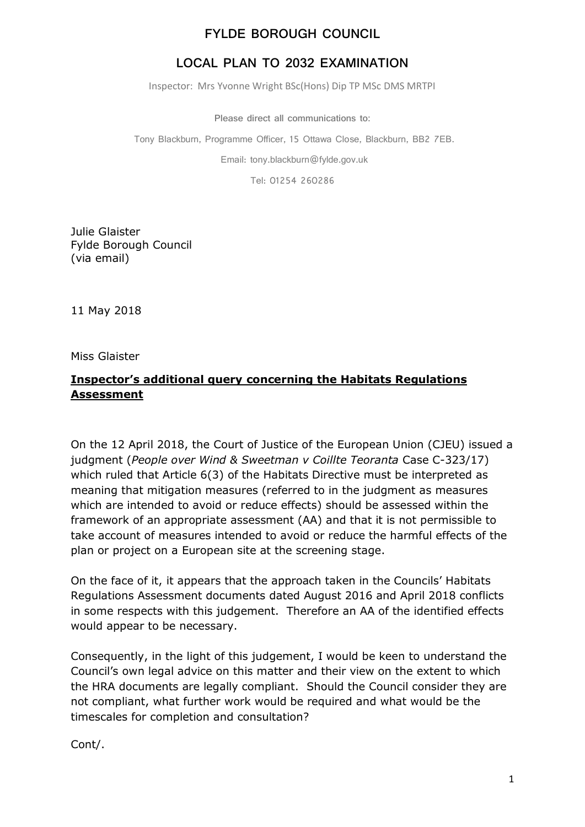## **FYLDE BOROUGH COUNCIL**

# **LOCAL PLAN TO 2032 EXAMINATION**

Inspector: Mrs Yvonne Wright BSc(Hons) Dip TP MSc DMS MRTPI

**Please direct all communications to:**

Tony Blackburn, Programme Officer, 15 Ottawa Close, Blackburn, BB2 7EB.

Email: tony.blackburn@fylde.gov.uk

Tel: 01254 260286

Julie Glaister Fylde Borough Council (via email)

11 May 2018

Miss Glaister

#### **Inspector's additional query concerning the Habitats Regulations Assessment**

On the 12 April 2018, the Court of Justice of the European Union (CJEU) issued a judgment (*People over Wind & Sweetman v Coillte Teoranta* Case C-323/17) which ruled that Article 6(3) of the Habitats Directive must be interpreted as meaning that mitigation measures (referred to in the judgment as measures which are intended to avoid or reduce effects) should be assessed within the framework of an appropriate assessment (AA) and that it is not permissible to take account of measures intended to avoid or reduce the harmful effects of the plan or project on a European site at the screening stage.

On the face of it, it appears that the approach taken in the Councils' Habitats Regulations Assessment documents dated August 2016 and April 2018 conflicts in some respects with this judgement. Therefore an AA of the identified effects would appear to be necessary.

Consequently, in the light of this judgement, I would be keen to understand the Council's own legal advice on this matter and their view on the extent to which the HRA documents are legally compliant. Should the Council consider they are not compliant, what further work would be required and what would be the timescales for completion and consultation?

Cont/.